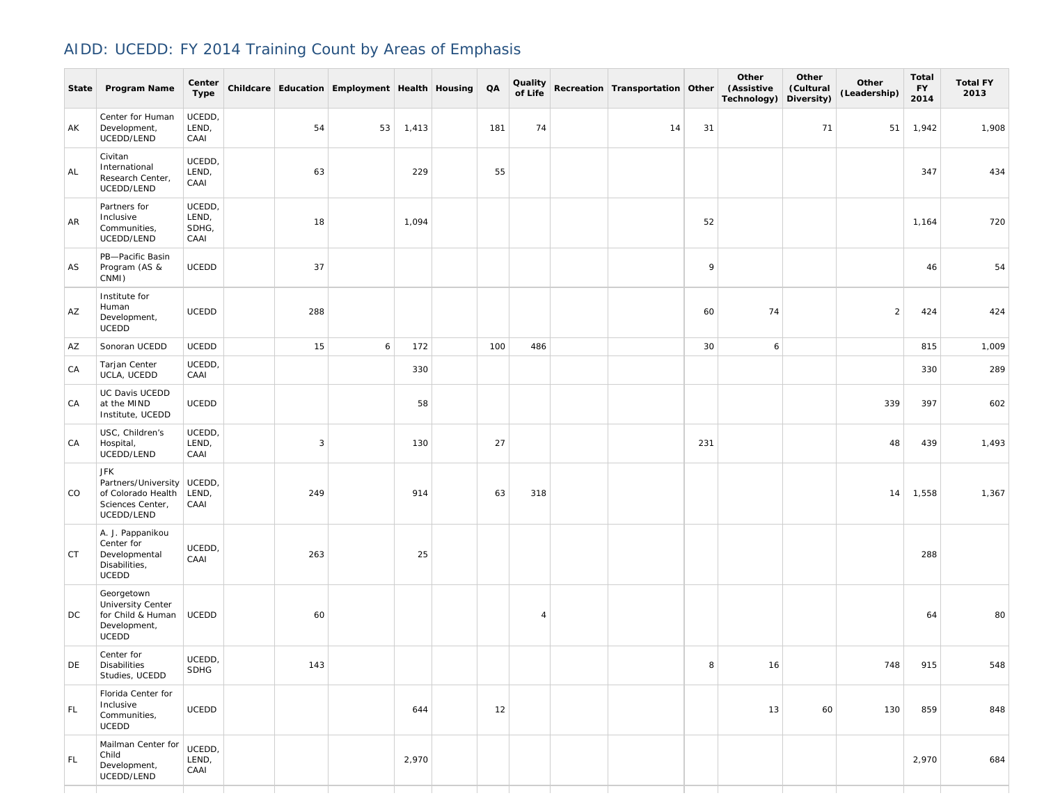## AIDD: UCEDD: FY 2014 Training Count by Areas of Emphasis

| State | Program Name                                                                                | Center<br><b>Type</b>            |              | Childcare Education Employment Health Housing |       | QA  | Quality<br>of Life | Recreation Transportation Other |     | Other<br>(Assistive<br>Technology) | Other<br>(Cultural<br>Diversity) | Other<br>(Leadership) | <b>Total</b><br><b>FY</b><br>2014 | <b>Total FY</b><br>2013 |
|-------|---------------------------------------------------------------------------------------------|----------------------------------|--------------|-----------------------------------------------|-------|-----|--------------------|---------------------------------|-----|------------------------------------|----------------------------------|-----------------------|-----------------------------------|-------------------------|
| AK    | Center for Human<br>Development,<br>UCEDD/LEND                                              | UCEDD,<br>LEND,<br>CAAI          | 54           | 53                                            | 1,413 | 181 | 74                 | 14                              | 31  |                                    | 71                               | 51                    | 1,942                             | 1,908                   |
| AL    | Civitan<br>International<br>Research Center,<br>UCEDD/LEND                                  | UCEDD,<br>LEND,<br>CAAI          | 63           |                                               | 229   | 55  |                    |                                 |     |                                    |                                  |                       | 347                               | 434                     |
| AR    | Partners for<br>Inclusive<br>Communities,<br>UCEDD/LEND                                     | UCEDD,<br>LEND,<br>SDHG,<br>CAAI | 18           |                                               | 1,094 |     |                    |                                 | 52  |                                    |                                  |                       | 1,164                             | 720                     |
| AS    | PB-Pacific Basin<br>Program (AS &<br>CNMI)                                                  | UCEDD                            | 37           |                                               |       |     |                    |                                 | 9   |                                    |                                  |                       | 46                                | 54                      |
| AZ    | Institute for<br>Human<br>Development,<br><b>UCEDD</b>                                      | <b>UCEDD</b>                     | 288          |                                               |       |     |                    |                                 | 60  | 74                                 |                                  | 2                     | 424                               | 424                     |
| AZ    | Sonoran UCEDD                                                                               | UCEDD                            | 15           | 6                                             | 172   | 100 | 486                |                                 | 30  | 6                                  |                                  |                       | 815                               | 1,009                   |
| CA    | Tarjan Center<br>UCLA, UCEDD                                                                | UCEDD,<br>CAAI                   |              |                                               | 330   |     |                    |                                 |     |                                    |                                  |                       | 330                               | 289                     |
| CA    | UC Davis UCEDD<br>at the MIND<br>Institute, UCEDD                                           | UCEDD                            |              |                                               | 58    |     |                    |                                 |     |                                    |                                  | 339                   | 397                               | 602                     |
| CA    | USC, Children's<br>Hospital,<br>UCEDD/LEND                                                  | UCEDD,<br>LEND,<br>CAAI          | $\mathbf{3}$ |                                               | 130   | 27  |                    |                                 | 231 |                                    |                                  | 48                    | 439                               | 1,493                   |
| CO    | <b>JFK</b><br>Partners/University<br>of Colorado Health<br>Sciences Center,<br>UCEDD/LEND   | UCEDD,<br>LEND,<br>CAAI          | 249          |                                               | 914   | 63  | 318                |                                 |     |                                    |                                  | 14                    | 1,558                             | 1,367                   |
| СT    | A. J. Pappanikou<br>Center for<br>Developmental<br>Disabilities,<br><b>UCEDD</b>            | UCEDD,<br>CAAI                   | 263          |                                               | 25    |     |                    |                                 |     |                                    |                                  |                       | 288                               |                         |
| DC.   | Georgetown<br><b>University Center</b><br>for Child & Human<br>Development,<br><b>UCEDD</b> | <b>UCEDD</b>                     | 60           |                                               |       |     | $\overline{4}$     |                                 |     |                                    |                                  |                       | 64                                | 80                      |
| DE    | Center for<br>Disabilities<br>Studies, UCEDD                                                | UCEDD,<br><b>SDHG</b>            | 143          |                                               |       |     |                    |                                 | 8   | 16                                 |                                  | 748                   | 915                               | 548                     |
| FL.   | Florida Center for<br>Inclusive<br>Communities,<br>UCEDD                                    | <b>UCEDD</b>                     |              |                                               | 644   | 12  |                    |                                 |     | 13                                 | 60                               | 130                   | 859                               | 848                     |
| FL.   | Mailman Center for<br>Child<br>Development,<br>UCEDD/LEND                                   | UCEDD,<br>LEND,<br>CAAI          |              |                                               | 2,970 |     |                    |                                 |     |                                    |                                  |                       | 2,970                             | 684                     |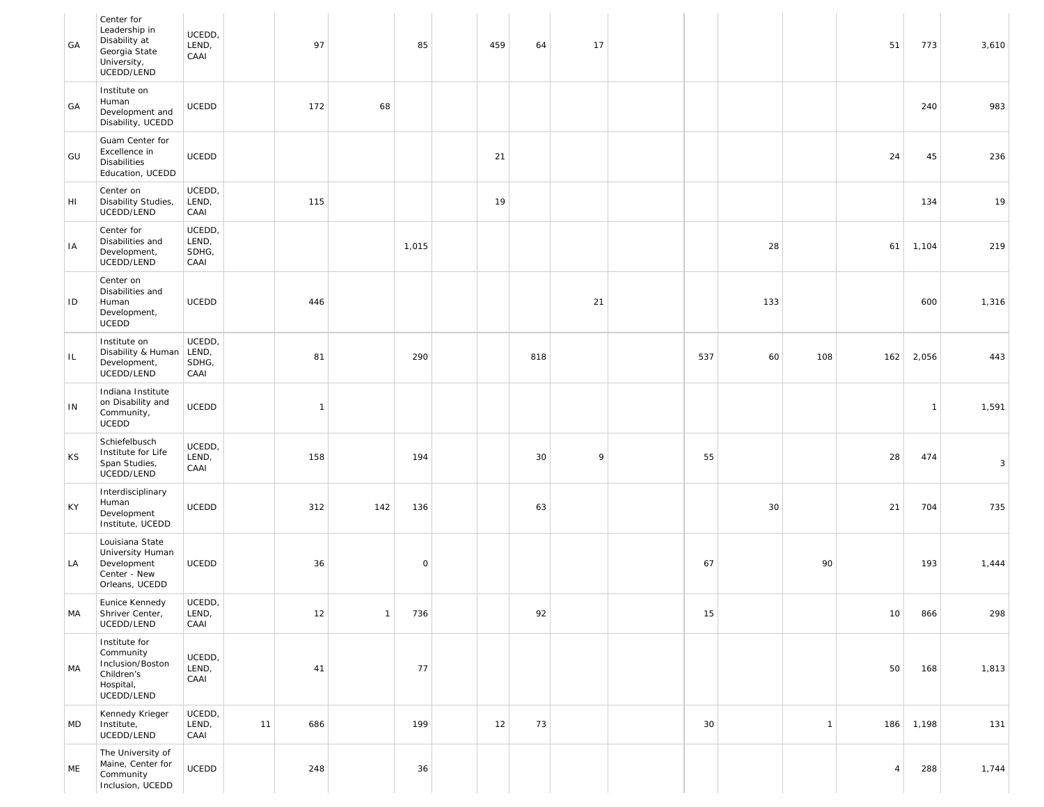| GA | Center for<br>Leadership in<br>Disability at<br>Georgia State<br>University,<br>UCEDD/LEND | UCEDD,<br>LEND,<br>CAAI          |    | 97             |              | 85          | 459 | 64  | 17 |     |     |              | 51             | 773            | 3,610 |  |
|----|--------------------------------------------------------------------------------------------|----------------------------------|----|----------------|--------------|-------------|-----|-----|----|-----|-----|--------------|----------------|----------------|-------|--|
| GA | Institute on<br>Human<br>Development and<br>Disability, UCEDD                              | UCEDD                            |    | 172            | 68           |             |     |     |    |     |     |              |                | 240            | 983   |  |
| GU | Guam Center for<br>Excellence in<br>Disabilities<br>Education, UCEDD                       | UCEDD                            |    |                |              |             | 21  |     |    |     |     |              | 24             | 45             | 236   |  |
| HI | Center on<br>Disability Studies,<br>UCEDD/LEND                                             | UCEDD,<br>LEND,<br>CAAI          |    | 115            |              |             | 19  |     |    |     |     |              |                | 134            | 19    |  |
| IA | Center for<br>Disabilities and<br>Development,<br>UCEDD/LEND                               | UCEDD,<br>LEND,<br>SDHG,<br>CAAI |    |                |              | 1,015       |     |     |    |     | 28  |              | 61             | 1,104          | 219   |  |
| ID | Center on<br>Disabilities and<br>Human<br>Development,<br>UCEDD                            | UCEDD                            |    | 446            |              |             |     |     | 21 |     | 133 |              |                | 600            | 1,316 |  |
| IL | Institute on<br>Disability & Human<br>Development,<br>UCEDD/LEND                           | UCEDD,<br>LEND,<br>SDHG,<br>CAAI |    | 81             |              | 290         |     | 818 |    | 537 | 60  | 108          | 162            | 2,056          | 443   |  |
| IN | Indiana Institute<br>on Disability and<br>Community,<br>UCEDD                              | UCEDD                            |    | $\overline{1}$ |              |             |     |     |    |     |     |              |                | $\overline{1}$ | 1,591 |  |
| ΚS | Schiefelbusch<br>Institute for Life<br>Span Studies,<br>UCEDD/LEND                         | UCEDD,<br>LEND,<br>CAAI          |    | 158            |              | 194         |     | 30  | 9  | 55  |     |              | 28             | 474            | 3     |  |
| KY | Interdisciplinary<br>Human<br>Development<br>Institute, UCEDD                              | UCEDD                            |    | 312            | 142          | 136         |     | 63  |    |     | 30  |              | 21             | 704            | 735   |  |
| LA | Louisiana State<br>University Human<br>Development<br>Center - New<br>Orleans, UCEDD       | UCEDD                            |    | 36             |              | $\mathsf O$ |     |     |    | 67  |     | 90           |                | 193            | 1,444 |  |
| MA | Eunice Kennedy<br>Shriver Center,<br>UCEDD/LEND                                            | UCEDD,<br>LEND,<br>CAAI          |    | $12$           | $\mathbf{1}$ | 736         |     | 92  |    | 15  |     |              | 10             | 866            | 298   |  |
| MA | Institute for<br>Community<br>Inclusion/Boston<br>Children's<br>Hospital,<br>UCEDD/LEND    | UCEDD,<br>LEND,<br>CAAI          |    | 41             |              | 77          |     |     |    |     |     |              | 50             | 168            | 1,813 |  |
| MD | Kennedy Krieger<br>Institute,<br>UCEDD/LEND                                                | UCEDD,<br>LEND,<br>CAAI          | 11 | 686            |              | 199         | 12  | 73  |    | 30  |     | $\mathbf{1}$ | 186            | 1,198          | 131   |  |
| ME | The University of<br>Maine, Center for<br>Community<br>Inclusion, UCEDD                    | UCEDD                            |    | 248            |              | 36          |     |     |    |     |     |              | $\overline{4}$ | 288            | 1,744 |  |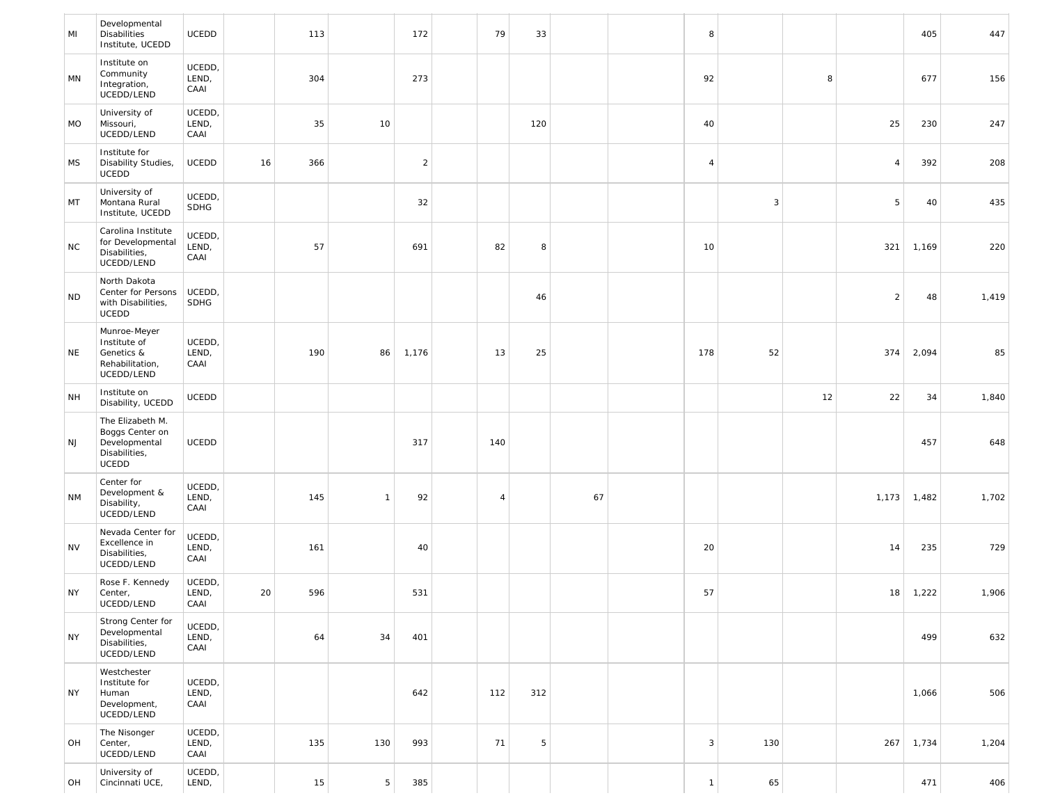| MI        | Developmental<br><b>Disabilities</b><br>Institute, UCEDD                              | UCEDD                   |    | 113 |              | 172            | 79             | 33  |    | 8            |              |    |                | 405   | 447   |
|-----------|---------------------------------------------------------------------------------------|-------------------------|----|-----|--------------|----------------|----------------|-----|----|--------------|--------------|----|----------------|-------|-------|
| MN        | Institute on<br>Community<br>Integration,<br>UCEDD/LEND                               | UCEDD,<br>LEND,<br>CAAI |    | 304 |              | 273            |                |     |    | 92           |              | 8  |                | 677   | 156   |
| MO        | University of<br>Missouri,<br>UCEDD/LEND                                              | UCEDD,<br>LEND,<br>CAAI |    | 35  | 10           |                |                | 120 |    | 40           |              |    | 25             | 230   | 247   |
| <b>MS</b> | Institute for<br>Disability Studies,<br>UCEDD                                         | <b>UCEDD</b>            | 16 | 366 |              | $\overline{c}$ |                |     |    | $\sqrt{4}$   |              |    | $\overline{4}$ | 392   | 208   |
| MT        | University of<br>Montana Rural<br>Institute, UCEDD                                    | UCEDD,<br>SDHG          |    |     |              | 32             |                |     |    |              | $\mathbf{3}$ |    | 5              | 40    | 435   |
| <b>NC</b> | Carolina Institute<br>for Developmental<br>Disabilities,<br>UCEDD/LEND                | UCEDD,<br>LEND,<br>CAAI |    | 57  |              | 691            | 82             | 8   |    | 10           |              |    | 321            | 1,169 | 220   |
| <b>ND</b> | North Dakota<br>Center for Persons<br>with Disabilities,<br>UCEDD                     | UCEDD,<br>SDHG          |    |     |              |                |                | 46  |    |              |              |    | $\overline{2}$ | 48    | 1,419 |
| NE        | Munroe-Meyer<br>Institute of<br>Genetics &<br>Rehabilitation,<br>UCEDD/LEND           | UCEDD,<br>LEND,<br>CAAI |    | 190 | 86           | 1,176          | 13             | 25  |    | 178          | 52           |    | 374            | 2,094 | 85    |
| <b>NH</b> | Institute on<br>Disability, UCEDD                                                     | UCEDD                   |    |     |              |                |                |     |    |              |              | 12 | 22             | 34    | 1,840 |
| <b>NJ</b> | The Elizabeth M.<br>Boggs Center on<br>Developmental<br>Disabilities,<br><b>UCEDD</b> | UCEDD                   |    |     |              | 317            | 140            |     |    |              |              |    |                | 457   | 648   |
| <b>NM</b> | Center for<br>Development &<br>Disability,<br>UCEDD/LEND                              | UCEDD,<br>LEND,<br>CAAI |    | 145 | $\mathbf{1}$ | 92             | $\overline{4}$ |     | 67 |              |              |    | 1,173          | 1,482 | 1,702 |
| <b>NV</b> | Nevada Center for<br>Excellence in<br>Disabilities,<br>UCEDD/LEND                     | UCEDD,<br>LEND,<br>CAAI |    | 161 |              | 40             |                |     |    | 20           |              |    | 14             | 235   | 729   |
| <b>NY</b> | Rose F. Kennedy<br>Center,<br>UCEDD/LEND                                              | UCEDD,<br>LEND,<br>CAAI | 20 | 596 |              | 531            |                |     |    | 57           |              |    | 18             | 1,222 | 1,906 |
| <b>NY</b> | Strong Center for<br>Developmental<br>Disabilities,<br>UCEDD/LEND                     | UCEDD,<br>LEND,<br>CAAI |    | 64  | 34           | 401            |                |     |    |              |              |    |                | 499   | 632   |
| NY        | Westchester<br>Institute for<br>Human<br>Development,<br>UCEDD/LEND                   | UCEDD,<br>LEND,<br>CAAI |    |     |              | 642            | 112            | 312 |    |              |              |    |                | 1,066 | 506   |
| OH        | The Nisonger<br>Center,<br>UCEDD/LEND                                                 | UCEDD,<br>LEND,<br>CAAI |    | 135 | 130          | 993            | 71             | 5   |    | 3            | 130          |    | 267            | 1,734 | 1,204 |
| OH        | University of<br>Cincinnati UCE,                                                      | UCEDD,<br>LEND,         |    | 15  | 5            | 385            |                |     |    | $\mathbf{1}$ | 65           |    |                | 471   | 406   |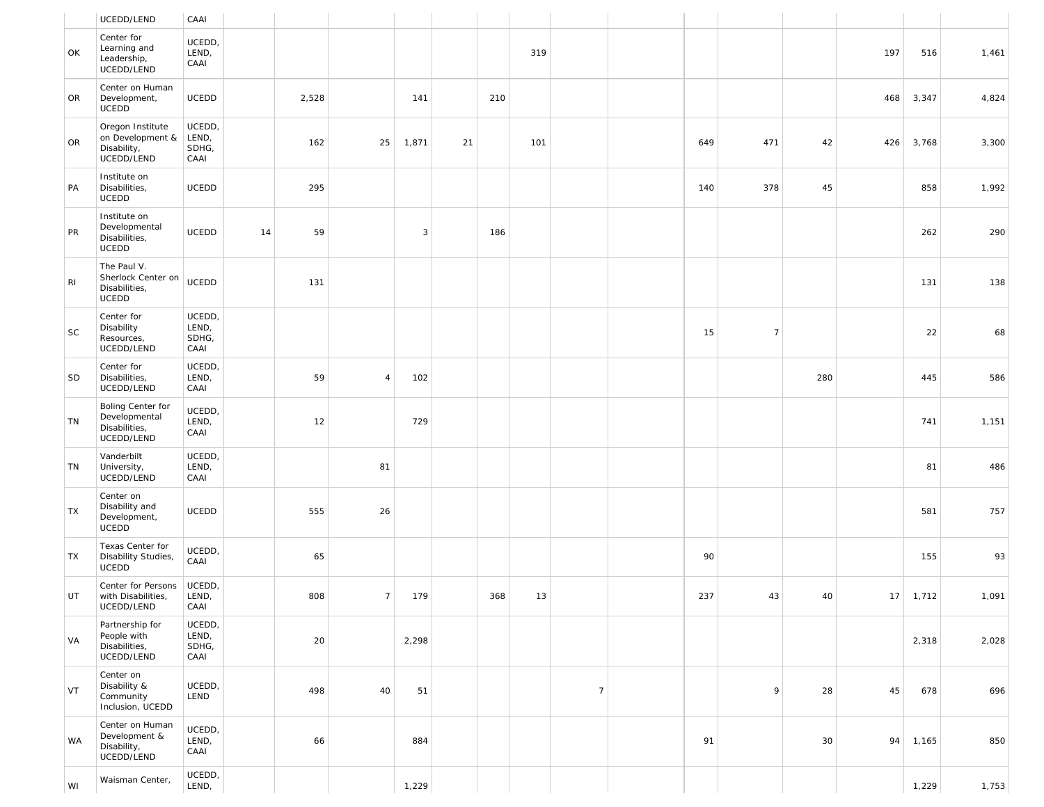|                | UCEDD/LEND                                                        | CAAI                             |    |       |                |       |    |     |     |                |     |                |     |     |       |       |
|----------------|-------------------------------------------------------------------|----------------------------------|----|-------|----------------|-------|----|-----|-----|----------------|-----|----------------|-----|-----|-------|-------|
| OK             | Center for<br>Learning and<br>Leadership,<br>UCEDD/LEND           | UCEDD,<br>LEND,<br>CAAI          |    |       |                |       |    |     | 319 |                |     |                |     | 197 | 516   | 1,461 |
| OR             | Center on Human<br>Development,<br>UCEDD                          | UCEDD                            |    | 2,528 |                | 141   |    | 210 |     |                |     |                |     | 468 | 3,347 | 4,824 |
| OR             | Oregon Institute<br>on Development &<br>Disability,<br>UCEDD/LEND | UCEDD,<br>LEND,<br>SDHG,<br>CAAI |    | 162   | 25             | 1,871 | 21 |     | 101 |                | 649 | 471            | 42  | 426 | 3,768 | 3,300 |
| PA             | Institute on<br>Disabilities,<br>UCEDD                            | UCEDD                            |    | 295   |                |       |    |     |     |                | 140 | 378            | 45  |     | 858   | 1,992 |
| PR             | Institute on<br>Developmental<br>Disabilities,<br>UCEDD           | <b>UCEDD</b>                     | 14 | 59    |                | 3     |    | 186 |     |                |     |                |     |     | 262   | 290   |
| R <sub>l</sub> | The Paul V.<br>Sherlock Center on<br>Disabilities,<br>UCEDD       | UCEDD                            |    | 131   |                |       |    |     |     |                |     |                |     |     | 131   | 138   |
| $\sf SC$       | Center for<br>Disability<br>Resources,<br>UCEDD/LEND              | UCEDD,<br>LEND,<br>SDHG,<br>CAAI |    |       |                |       |    |     |     |                | 15  | $\overline{7}$ |     |     | 22    | 68    |
| SD             | Center for<br>Disabilities,<br>UCEDD/LEND                         | UCEDD,<br>LEND,<br>CAAI          |    | 59    | $\overline{4}$ | 102   |    |     |     |                |     |                | 280 |     | 445   | 586   |
| TN             | Boling Center for<br>Developmental<br>Disabilities,<br>UCEDD/LEND | UCEDD,<br>LEND,<br>CAAI          |    | 12    |                | 729   |    |     |     |                |     |                |     |     | 741   | 1,151 |
| TN             | Vanderbilt<br>University,<br>UCEDD/LEND                           | UCEDD,<br>LEND,<br>CAAI          |    |       | 81             |       |    |     |     |                |     |                |     |     | 81    | 486   |
| TX             | Center on<br>Disability and<br>Development,<br>UCEDD              | UCEDD                            |    | 555   | 26             |       |    |     |     |                |     |                |     |     | 581   | 757   |
| TX             | Texas Center for<br>Disability Studies,<br>UCEDD                  | UCEDD,<br>CAAI                   |    | 65    |                |       |    |     |     |                | 90  |                |     |     | 155   | 93    |
| UT             | Center for Persons<br>with Disabilities,<br>UCEDD/LEND            | UCEDD,<br>LEND,<br>CAAI          |    | 808   | $\overline{7}$ | 179   |    | 368 | 13  |                | 237 | 43             | 40  | 17  | 1,712 | 1,091 |
| VA             | Partnership for<br>People with<br>Disabilities,<br>UCEDD/LEND     | UCEDD,<br>LEND,<br>SDHG,<br>CAAI |    | 20    |                | 2,298 |    |     |     |                |     |                |     |     | 2,318 | 2,028 |
| VT             | Center on<br>Disability &<br>Community<br>Inclusion, UCEDD        | UCEDD,<br>LEND                   |    | 498   | 40             | 51    |    |     |     | $\overline{7}$ |     | 9              | 28  | 45  | 678   | 696   |
| WA             | Center on Human<br>Development &<br>Disability,<br>UCEDD/LEND     | UCEDD,<br>LEND,<br>CAAI          |    | 66    |                | 884   |    |     |     |                | 91  |                | 30  | 94  | 1,165 | 850   |
| WI             | Waisman Center,                                                   | UCEDD,<br>LEND,                  |    |       |                | 1,229 |    |     |     |                |     |                |     |     | 1,229 | 1,753 |